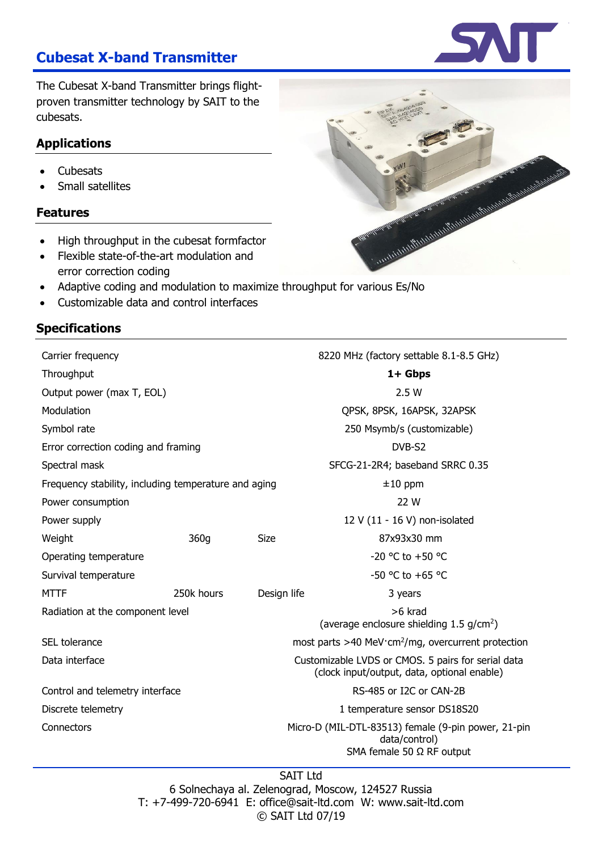# **Cubesat X-band Transmitter**

The Cubesat X-band Transmitter brings flightproven transmitter technology by SAIT to the cubesats.

### **Applications**

- **Cubesats**
- Small satellites

#### **Features**

- High throughput in the cubesat formfactor
- Flexible state-of-the-art modulation and error correction coding
- Adaptive coding and modulation to maximize throughput for various Es/No
- Customizable data and control interfaces

### **Specifications**

| Carrier frequency                                    |            |             | 8220 MHz (factory settable 8.1-8.5 GHz)                                                                  |  |
|------------------------------------------------------|------------|-------------|----------------------------------------------------------------------------------------------------------|--|
| Throughput                                           |            |             | 1+ Gbps                                                                                                  |  |
| Output power (max T, EOL)                            |            |             | 2.5W                                                                                                     |  |
| Modulation                                           |            |             | QPSK, 8PSK, 16APSK, 32APSK                                                                               |  |
| Symbol rate                                          |            |             | 250 Msymb/s (customizable)                                                                               |  |
| Error correction coding and framing                  |            |             | DVB-S2                                                                                                   |  |
| Spectral mask                                        |            |             | SFCG-21-2R4; baseband SRRC 0.35                                                                          |  |
| Frequency stability, including temperature and aging |            |             | $±10$ ppm                                                                                                |  |
| Power consumption                                    |            |             | 22 W                                                                                                     |  |
| Power supply                                         |            |             | 12 V (11 - 16 V) non-isolated                                                                            |  |
| Weight                                               | 360g       | Size        | 87x93x30 mm                                                                                              |  |
| Operating temperature                                |            |             | $-20$ °C to $+50$ °C                                                                                     |  |
| Survival temperature                                 |            |             | -50 °C to +65 °C                                                                                         |  |
| MTTF                                                 | 250k hours | Design life | 3 years                                                                                                  |  |
| Radiation at the component level                     |            |             | >6 krad<br>(average enclosure shielding $1.5$ g/cm <sup>2</sup> )                                        |  |
| SEL tolerance                                        |            |             | most parts >40 MeV $\cdot$ cm <sup>2</sup> /mg, overcurrent protection                                   |  |
| Data interface                                       |            |             | Customizable LVDS or CMOS. 5 pairs for serial data<br>(clock input/output, data, optional enable)        |  |
| Control and telemetry interface                      |            |             | RS-485 or I2C or CAN-2B                                                                                  |  |
| Discrete telemetry                                   |            |             | 1 temperature sensor DS18S20                                                                             |  |
| Connectors                                           |            |             | Micro-D (MIL-DTL-83513) female (9-pin power, 21-pin<br>data/control)<br>SMA female 50 $\Omega$ RF output |  |
|                                                      |            |             |                                                                                                          |  |

**NIT** 



SAIT Ltd 6 Solnechaya al. Zelenograd, Moscow, 124527 Russia T: +7-499-720-6941 E: office@sait-ltd.com W: www.sait-ltd.com © SAIT Ltd 07/19